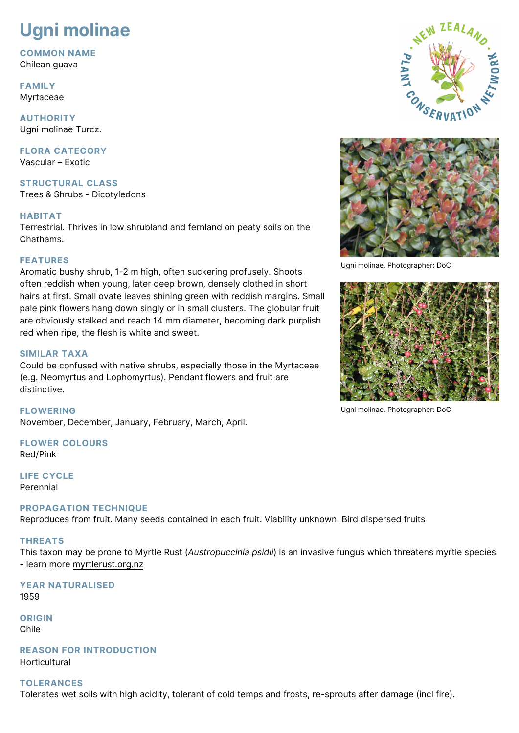# **Ugni molinae**

**COMMON NAME** Chilean guava

**FAMILY** Myrtaceae

**AUTHORITY** Ugni molinae Turcz.

**FLORA CATEGORY** Vascular – Exotic

**STRUCTURAL CLASS** Trees & Shrubs - Dicotyledons

## **HABITAT**

Terrestrial. Thrives in low shrubland and fernland on peaty soils on the Chathams.

## **FEATURES**

Aromatic bushy shrub, 1-2 m high, often suckering profusely. Shoots often reddish when young, later deep brown, densely clothed in short hairs at first. Small ovate leaves shining green with reddish margins. Small pale pink flowers hang down singly or in small clusters. The globular fruit are obviously stalked and reach 14 mm diameter, becoming dark purplish red when ripe, the flesh is white and sweet.

## **SIMILAR TAXA**

Could be confused with native shrubs, especially those in the Myrtaceae (e.g. Neomyrtus and Lophomyrtus). Pendant flowers and fruit are distinctive.

**FLOWERING** November, December, January, February, March, April.

**FLOWER COLOURS** Red/Pink

**LIFE CYCLE** Perennial

## **PROPAGATION TECHNIQUE**

Reproduces from fruit. Many seeds contained in each fruit. Viability unknown. Bird dispersed fruits

## **THREATS**

This taxon may be prone to Myrtle Rust (*Austropuccinia psidii*) is an invasive fungus which threatens myrtle species - learn more [myrtlerust.org.nz](https://www.myrtlerust.org.nz/)

**YEAR NATURALISED** 1959

**ORIGIN** Chile

**REASON FOR INTRODUCTION** Horticultural

## **TOLERANCES**

Tolerates wet soils with high acidity, tolerant of cold temps and frosts, re-sprouts after damage (incl fire).





Ugni molinae. Photographer: DoC



Ugni molinae. Photographer: DoC